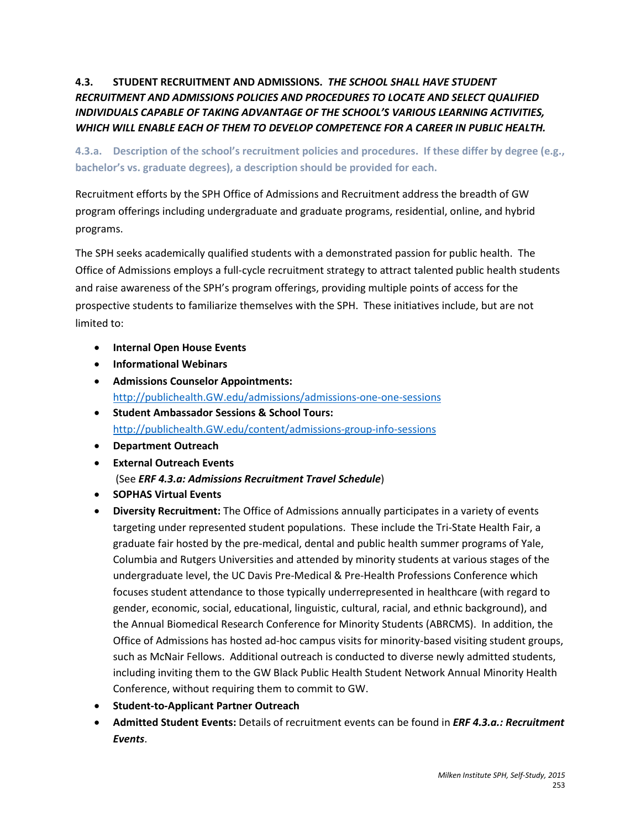# **4.3. STUDENT RECRUITMENT AND ADMISSIONS.** *THE SCHOOL SHALL HAVE STUDENT RECRUITMENT AND ADMISSIONS POLICIES AND PROCEDURES TO LOCATE AND SELECT QUALIFIED INDIVIDUALS CAPABLE OF TAKING ADVANTAGE OF THE SCHOOL'S VARIOUS LEARNING ACTIVITIES, WHICH WILL ENABLE EACH OF THEM TO DEVELOP COMPETENCE FOR A CAREER IN PUBLIC HEALTH.*

**4.3.a. Description of the school's recruitment policies and procedures. If these differ by degree (e.g., bachelor's vs. graduate degrees), a description should be provided for each.**

Recruitment efforts by the SPH Office of Admissions and Recruitment address the breadth of GW program offerings including undergraduate and graduate programs, residential, online, and hybrid programs.

The SPH seeks academically qualified students with a demonstrated passion for public health. The Office of Admissions employs a full-cycle recruitment strategy to attract talented public health students and raise awareness of the SPH's program offerings, providing multiple points of access for the prospective students to familiarize themselves with the SPH. These initiatives include, but are not limited to:

- **Internal Open House Events**
- **Informational Webinars**
- **Admissions Counselor Appointments:** [http://publichealth.GW.edu/admissions/admissions-one-one-sessions](http://publichealth.gwu.edu/admissions/admissions-one-one-sessions)
- **Student Ambassador Sessions & School Tours:** [http://publichealth.GW.edu/content/admissions-group-info-sessions](http://publichealth.gwu.edu/content/admissions-group-info-sessions)
- **Department Outreach**
- **External Outreach Events** (See *ERF 4.3.a: Admissions Recruitment Travel Schedule*)
- **SOPHAS Virtual Events**
- **Diversity Recruitment:** The Office of Admissions annually participates in a variety of events targeting under represented student populations. These include the Tri-State Health Fair, a graduate fair hosted by the pre-medical, dental and public health summer programs of Yale, Columbia and Rutgers Universities and attended by minority students at various stages of the undergraduate level, the UC Davis Pre-Medical & Pre-Health Professions Conference which focuses student attendance to those typically underrepresented in healthcare (with regard to gender, economic, social, educational, linguistic, cultural, racial, and ethnic background), and the Annual Biomedical Research Conference for Minority Students (ABRCMS). In addition, the Office of Admissions has hosted ad-hoc campus visits for minority-based visiting student groups, such as McNair Fellows. Additional outreach is conducted to diverse newly admitted students, including inviting them to the GW Black Public Health Student Network Annual Minority Health Conference, without requiring them to commit to GW.
- **Student-to-Applicant Partner Outreach**
- **Admitted Student Events:** Details of recruitment events can be found in *ERF 4.3.a.: Recruitment Events*.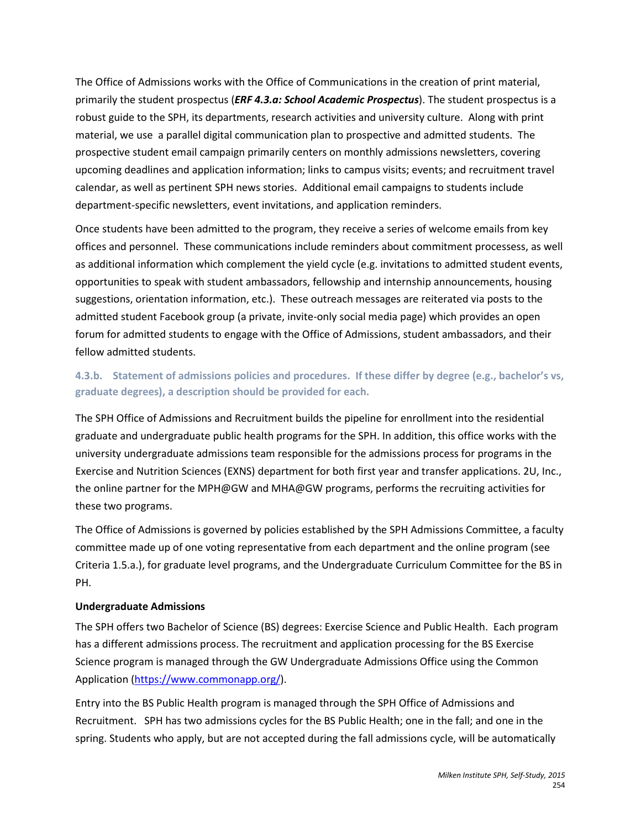The Office of Admissions works with the Office of Communications in the creation of print material, primarily the student prospectus (*ERF 4.3.a: School Academic Prospectus*). The student prospectus is a robust guide to the SPH, its departments, research activities and university culture. Along with print material, we use a parallel digital communication plan to prospective and admitted students. The prospective student email campaign primarily centers on monthly admissions newsletters, covering upcoming deadlines and application information; links to campus visits; events; and recruitment travel calendar, as well as pertinent SPH news stories. Additional email campaigns to students include department-specific newsletters, event invitations, and application reminders.

Once students have been admitted to the program, they receive a series of welcome emails from key offices and personnel. These communications include reminders about commitment processess, as well as additional information which complement the yield cycle (e.g. invitations to admitted student events, opportunities to speak with student ambassadors, fellowship and internship announcements, housing suggestions, orientation information, etc.). These outreach messages are reiterated via posts to the admitted student Facebook group (a private, invite-only social media page) which provides an open forum for admitted students to engage with the Office of Admissions, student ambassadors, and their fellow admitted students.

## **4.3.b. Statement of admissions policies and procedures. If these differ by degree (e.g., bachelor's vs, graduate degrees), a description should be provided for each.**

The SPH Office of Admissions and Recruitment builds the pipeline for enrollment into the residential graduate and undergraduate public health programs for the SPH. In addition, this office works with the university undergraduate admissions team responsible for the admissions process for programs in the Exercise and Nutrition Sciences (EXNS) department for both first year and transfer applications. 2U, Inc., the online partner for the MPH@GW and MHA@GW programs, performs the recruiting activities for these two programs.

The Office of Admissions is governed by policies established by the SPH Admissions Committee, a faculty committee made up of one voting representative from each department and the online program (see Criteria 1.5.a.), for graduate level programs, and the Undergraduate Curriculum Committee for the BS in PH.

### **Undergraduate Admissions**

The SPH offers two Bachelor of Science (BS) degrees: Exercise Science and Public Health. Each program has a different admissions process. The recruitment and application processing for the BS Exercise Science program is managed through the GW Undergraduate Admissions Office using the Common Application [\(https://www.commonapp.org/\)](https://www.commonapp.org/).

Entry into the BS Public Health program is managed through the SPH Office of Admissions and Recruitment. SPH has two admissions cycles for the BS Public Health; one in the fall; and one in the spring. Students who apply, but are not accepted during the fall admissions cycle, will be automatically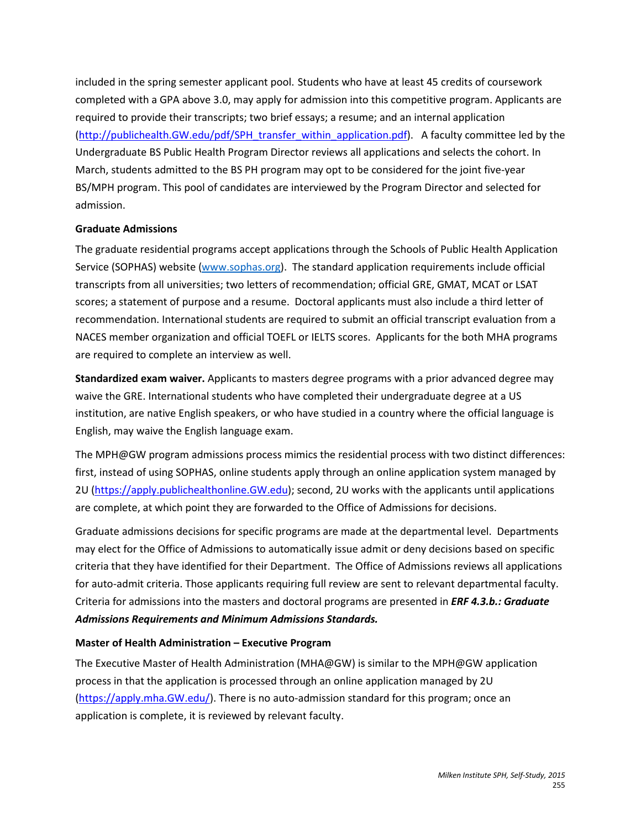included in the spring semester applicant pool. Students who have at least 45 credits of coursework completed with a GPA above 3.0, may apply for admission into this competitive program. Applicants are required to provide their transcripts; two brief essays; a resume; and an internal application [\(http://publichealth.GW.edu/pdf/SPH\\_transfer\\_within\\_application.pdf\)](http://publichealth.gwu.edu/pdf/gwsph_transfer_within_application.pdf). A faculty committee led by the Undergraduate BS Public Health Program Director reviews all applications and selects the cohort. In March, students admitted to the BS PH program may opt to be considered for the joint five-year BS/MPH program. This pool of candidates are interviewed by the Program Director and selected for admission.

#### **Graduate Admissions**

The graduate residential programs accept applications through the Schools of Public Health Application Service (SOPHAS) website [\(www.sophas.org\)](http://www.sophas.org/). The standard application requirements include official transcripts from all universities; two letters of recommendation; official GRE, GMAT, MCAT or LSAT scores; a statement of purpose and a resume. Doctoral applicants must also include a third letter of recommendation. International students are required to submit an official transcript evaluation from a NACES member organization and official TOEFL or IELTS scores. Applicants for the both MHA programs are required to complete an interview as well.

**Standardized exam waiver.** Applicants to masters degree programs with a prior advanced degree may waive the GRE. International students who have completed their undergraduate degree at a US institution, are native English speakers, or who have studied in a country where the official language is English, may waive the English language exam.

The MPH@GW program admissions process mimics the residential process with two distinct differences: first, instead of using SOPHAS, online students apply through an online application system managed by 2U [\(https://apply.publichealthonline.GW.edu\)](https://apply.publichealthonline.gwu.edu/); second, 2U works with the applicants until applications are complete, at which point they are forwarded to the Office of Admissions for decisions.

Graduate admissions decisions for specific programs are made at the departmental level. Departments may elect for the Office of Admissions to automatically issue admit or deny decisions based on specific criteria that they have identified for their Department. The Office of Admissions reviews all applications for auto-admit criteria. Those applicants requiring full review are sent to relevant departmental faculty. Criteria for admissions into the masters and doctoral programs are presented in *ERF 4.3.b.: Graduate Admissions Requirements and Minimum Admissions Standards.* 

### **Master of Health Administration – Executive Program**

The Executive Master of Health Administration (MHA@GW) is similar to the MPH@GW application process in that the application is processed through an online application managed by 2U [\(https://apply.mha.GW.edu/\)](https://apply.mha.gwu.edu/). There is no auto-admission standard for this program; once an application is complete, it is reviewed by relevant faculty.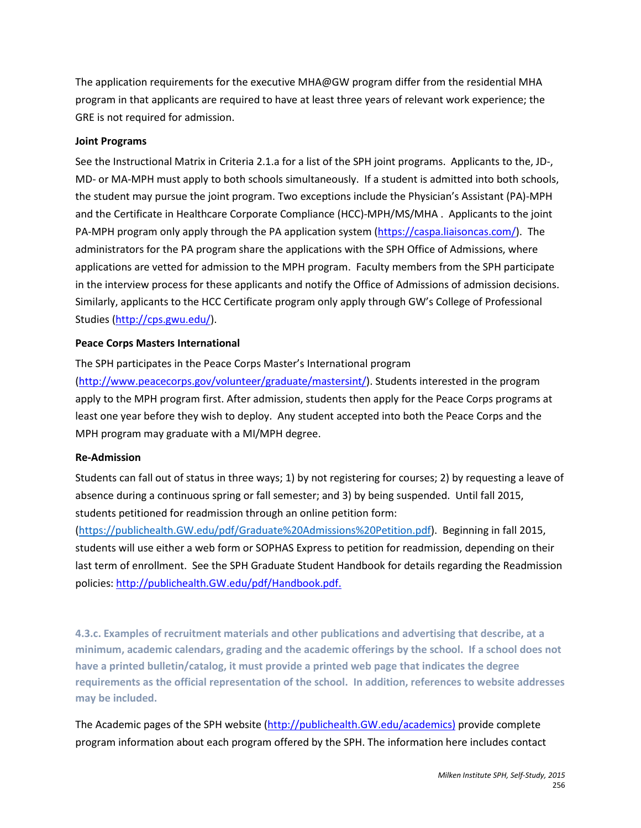The application requirements for the executive MHA@GW program differ from the residential MHA program in that applicants are required to have at least three years of relevant work experience; the GRE is not required for admission.

#### **Joint Programs**

See the Instructional Matrix in Criteria 2.1.a for a list of the SPH joint programs. Applicants to the, JD-, MD- or MA-MPH must apply to both schools simultaneously. If a student is admitted into both schools, the student may pursue the joint program. Two exceptions include the Physician's Assistant (PA)-MPH and the Certificate in Healthcare Corporate Compliance (HCC)-MPH/MS/MHA . Applicants to the joint PA-MPH program only apply through the PA application system [\(https://caspa.liaisoncas.com/\)](https://caspa.liaisoncas.com/). The administrators for the PA program share the applications with the SPH Office of Admissions, where applications are vetted for admission to the MPH program. Faculty members from the SPH participate in the interview process for these applicants and notify the Office of Admissions of admission decisions. Similarly, applicants to the HCC Certificate program only apply through GW's College of Professional Studies [\(http://cps.gwu.edu/\)](http://cps.gwu.edu/).

#### **Peace Corps Masters International**

The SPH participates in the Peace Corps Master's International program [\(http://www.peacecorps.gov/volunteer/graduate/mastersint/\)](http://www.peacecorps.gov/volunteer/graduate/mastersint/). Students interested in the program apply to the MPH program first. After admission, students then apply for the Peace Corps programs at least one year before they wish to deploy. Any student accepted into both the Peace Corps and the MPH program may graduate with a MI/MPH degree.

#### **Re-Admission**

Students can fall out of status in three ways; 1) by not registering for courses; 2) by requesting a leave of absence during a continuous spring or fall semester; and 3) by being suspended. Until fall 2015, students petitioned for readmission through an online petition form:

[\(https://publichealth.GW.edu/pdf/Graduate%20Admissions%20Petition.pdf\)](https://publichealth.gwu.edu/pdf/Graduate%20Admissions%20Petition.pdf). Beginning in fall 2015, students will use either a web form or SOPHAS Express to petition for readmission, depending on their last term of enrollment. See the SPH Graduate Student Handbook for details regarding the Readmission policies: [http://publichealth.GW.edu/pdf/Handbook.pdf.](http://publichealth.gwu.edu/pdf/Handbook.pdf)

**4.3.c. Examples of recruitment materials and other publications and advertising that describe, at a minimum, academic calendars, grading and the academic offerings by the school. If a school does not have a printed bulletin/catalog, it must provide a printed web page that indicates the degree requirements as the official representation of the school. In addition, references to website addresses may be included.**

The Academic pages of the SPH website [\(http://publichealth.GW.edu/academics\)](http://publichealth.gwu.edu/academics) provide complete program information about each program offered by the SPH. The information here includes contact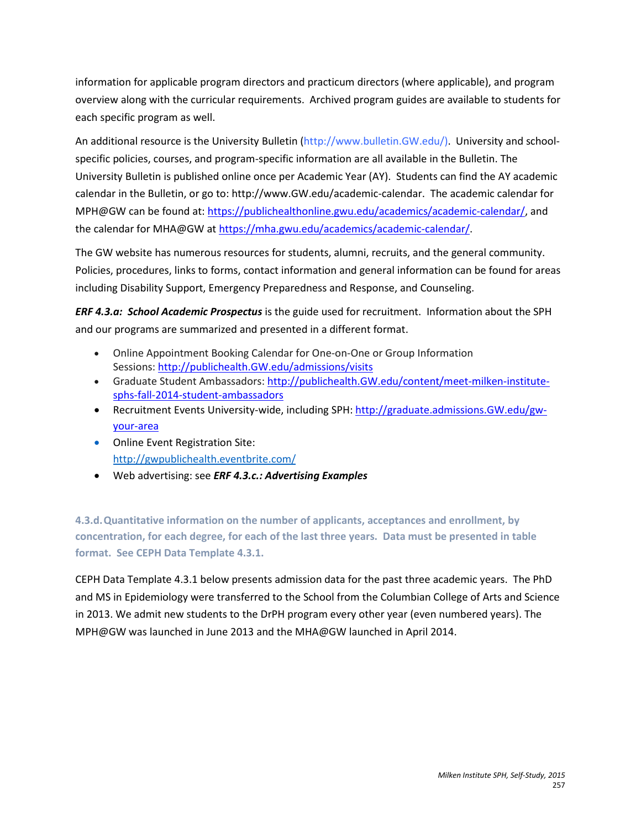information for applicable program directors and practicum directors (where applicable), and program overview along with the curricular requirements. Archived program guides are available to students for each specific program as well.

An additional resource is the University Bulletin [\(http://www.bulletin.GW.edu/\)](http://www.bulletin.gwu.edu/). University and schoolspecific policies, courses, and program-specific information are all available in the Bulletin. The University Bulletin is published online once per Academic Year (AY). Students can find the AY academic calendar in the Bulletin, or go to: [http://www.GW.edu/academic-calendar.](http://www.gwu.edu/academic-calendar) The academic calendar for MPH@GW can be found at: [https://publichealthonline.gwu.edu/academics/academic-calendar/,](https://publichealthonline.gwu.edu/academics/academic-calendar/) and the calendar for MHA@GW at [https://mha.gwu.edu/academics/academic-calendar/.](https://mha.gwu.edu/academics/academic-calendar/)

The GW website has numerous resources for students, alumni, recruits, and the general community. Policies, procedures, links to forms, contact information and general information can be found for areas including Disability Support, Emergency Preparedness and Response, and Counseling.

*ERF 4.3.a: School Academic Prospectus* is the guide used for recruitment. Information about the SPH and our programs are summarized and presented in a different format.

- Online Appointment Booking Calendar for One-on-One or Group Information Sessions: [http://publichealth.GW.edu/admissions/visits](http://publichealth.gwu.edu/admissions/visits)
- Graduate Student Ambassadors[: http://publichealth.GW.edu/content/meet-milken-institute](http://publichealth.gwu.edu/content/meet-milken-institute-sphs-fall-2014-student-ambassadors)[sphs-fall-2014-student-ambassadors](http://publichealth.gwu.edu/content/meet-milken-institute-sphs-fall-2014-student-ambassadors)
- Recruitment Events University-wide, including SPH[: http://graduate.admissions.GW.edu/gw](http://graduate.admissions.gwu.edu/gw-your-area)[your-area](http://graduate.admissions.gwu.edu/gw-your-area)
- Online Event Registration Site: <http://gwpublichealth.eventbrite.com/>
- Web advertising: see *ERF 4.3.c.: Advertising Examples*

**4.3.d.Quantitative information on the number of applicants, acceptances and enrollment, by concentration, for each degree, for each of the last three years. Data must be presented in table format. See CEPH Data Template 4.3.1.**

CEPH Data Template 4.3.1 below presents admission data for the past three academic years. The PhD and MS in Epidemiology were transferred to the School from the Columbian College of Arts and Science in 2013. We admit new students to the DrPH program every other year (even numbered years). The MPH@GW was launched in June 2013 and the MHA@GW launched in April 2014.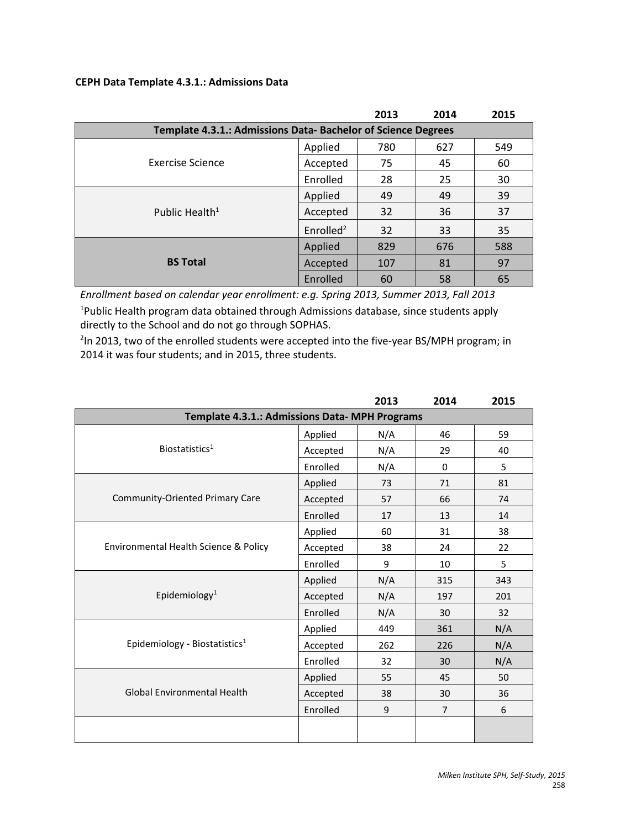#### **CEPH Data Template 4.3.1.: Admissions Data**

|                            |                                                               | 2013 | 2014 | 2015 |  |  |  |
|----------------------------|---------------------------------------------------------------|------|------|------|--|--|--|
|                            | Template 4.3.1.: Admissions Data- Bachelor of Science Degrees |      |      |      |  |  |  |
|                            | Applied                                                       | 780  | 627  | 549  |  |  |  |
| Exercise Science           | Accepted                                                      | 75   | 45   | 60   |  |  |  |
|                            | Enrolled                                                      | 28   | 25   | 30   |  |  |  |
| Public Health <sup>1</sup> | Applied                                                       | 49   | 49   | 39   |  |  |  |
|                            | Accepted                                                      | 32   | 36   | 37   |  |  |  |
|                            | Enrolled <sup>2</sup>                                         | 32   | 33   | 35   |  |  |  |
| <b>BS Total</b>            | Applied                                                       | 829  | 676  | 588  |  |  |  |
|                            | Accepted                                                      | 107  | 81   | 97   |  |  |  |
|                            | Enrolled                                                      | 60   | 58   | 65   |  |  |  |

*Enrollment based on calendar year enrollment: e.g. Spring 2013, Summer 2013, Fall 2013* <sup>1</sup>Public Health program data obtained through Admissions database, since students apply directly to the School and do not go through SOPHAS.

<sup>2</sup>In 2013, two of the enrolled students were accepted into the five-year BS/MPH program; in 2014 it was four students; and in 2015, three students.

|                                                |          | 2013 | 2014 | 2015 |  |  |  |
|------------------------------------------------|----------|------|------|------|--|--|--|
| Template 4.3.1.: Admissions Data- MPH Programs |          |      |      |      |  |  |  |
|                                                | Applied  | N/A  | 46   | 59   |  |  |  |
| Biostatistics <sup>1</sup>                     | Accepted | N/A  | 29   | 40   |  |  |  |
|                                                | Enrolled | N/A  | 0    | 5    |  |  |  |
| <b>Community-Oriented Primary Care</b>         | Applied  | 73   | 71   | 81   |  |  |  |
|                                                | Accepted | 57   | 66   | 74   |  |  |  |
|                                                | Enrolled | 17   | 13   | 14   |  |  |  |
| Environmental Health Science & Policy          | Applied  | 60   | 31   | 38   |  |  |  |
|                                                | Accepted | 38   | 24   | 22   |  |  |  |
|                                                | Enrolled | 9    | 10   | 5    |  |  |  |
|                                                | Applied  | N/A  | 315  | 343  |  |  |  |
| Epidemiology <sup>1</sup>                      | Accepted | N/A  | 197  | 201  |  |  |  |
|                                                | Enrolled | N/A  | 30   | 32   |  |  |  |
|                                                | Applied  | 449  | 361  | N/A  |  |  |  |
| Epidemiology - Biostatistics <sup>1</sup>      | Accepted | 262  | 226  | N/A  |  |  |  |
|                                                | Enrolled | 32   | 30   | N/A  |  |  |  |
|                                                | Applied  | 55   | 45   | 50   |  |  |  |
| <b>Global Environmental Health</b>             | Accepted | 38   | 30   | 36   |  |  |  |
|                                                | Enrolled | 9    | 7    | 6    |  |  |  |
|                                                |          |      |      |      |  |  |  |
|                                                |          |      |      |      |  |  |  |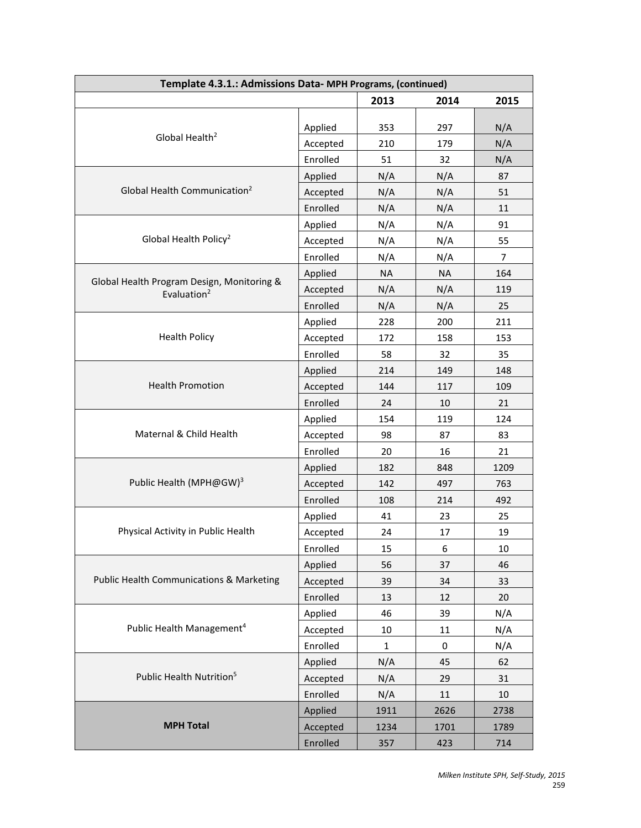| 2013<br>2014<br>2015<br>Applied<br>353<br>297<br>N/A<br>Global Health <sup>2</sup><br>N/A<br>Accepted<br>210<br>179<br>Enrolled<br>51<br>32<br>N/A<br>Applied<br>N/A<br>N/A<br>87<br>Global Health Communication <sup>2</sup><br>51<br>N/A<br>N/A<br>Accepted<br>Enrolled<br>N/A<br>N/A<br>11<br>Applied<br>N/A<br>N/A<br>91<br>Global Health Policy <sup>2</sup><br>N/A<br>Accepted<br>N/A<br>55<br>Enrolled<br>N/A<br>N/A<br>$\overline{7}$<br>164<br>Applied<br><b>NA</b><br><b>NA</b><br>Global Health Program Design, Monitoring &<br>Accepted<br>N/A<br>N/A<br>119<br>Evaluation <sup>2</sup><br>Enrolled<br>25<br>N/A<br>N/A<br>228<br>200<br>211<br>Applied<br><b>Health Policy</b><br>Accepted<br>172<br>158<br>153<br>Enrolled<br>58<br>32<br>35<br>214<br>149<br>148<br>Applied<br><b>Health Promotion</b><br>109<br>144<br>117<br>Accepted<br>Enrolled<br>21<br>24<br>10<br>154<br>119<br>124<br>Applied<br>Maternal & Child Health<br>98<br>83<br>Accepted<br>87<br>Enrolled<br>20<br>21<br>16<br>182<br>848<br>1209<br>Applied<br>Public Health (MPH@GW) <sup>3</sup><br>497<br>763<br>Accepted<br>142<br>Enrolled<br>492<br>108<br>214<br>41<br>Applied<br>23<br>25<br>Physical Activity in Public Health<br>19<br>Accepted<br>24<br>17<br>Enrolled<br>10<br>15<br>6<br>56<br>37<br>Applied<br>46<br><b>Public Health Communications &amp; Marketing</b><br>33<br>Accepted<br>39<br>34<br>Enrolled<br>13<br>12<br>20<br>N/A<br>Applied<br>46<br>39 | Template 4.3.1.: Admissions Data- MPH Programs, (continued) |  |  |  |  |  |
|-------------------------------------------------------------------------------------------------------------------------------------------------------------------------------------------------------------------------------------------------------------------------------------------------------------------------------------------------------------------------------------------------------------------------------------------------------------------------------------------------------------------------------------------------------------------------------------------------------------------------------------------------------------------------------------------------------------------------------------------------------------------------------------------------------------------------------------------------------------------------------------------------------------------------------------------------------------------------------------------------------------------------------------------------------------------------------------------------------------------------------------------------------------------------------------------------------------------------------------------------------------------------------------------------------------------------------------------------------------------------------------------------------------------------------------------------------------------|-------------------------------------------------------------|--|--|--|--|--|
|                                                                                                                                                                                                                                                                                                                                                                                                                                                                                                                                                                                                                                                                                                                                                                                                                                                                                                                                                                                                                                                                                                                                                                                                                                                                                                                                                                                                                                                                   |                                                             |  |  |  |  |  |
|                                                                                                                                                                                                                                                                                                                                                                                                                                                                                                                                                                                                                                                                                                                                                                                                                                                                                                                                                                                                                                                                                                                                                                                                                                                                                                                                                                                                                                                                   |                                                             |  |  |  |  |  |
|                                                                                                                                                                                                                                                                                                                                                                                                                                                                                                                                                                                                                                                                                                                                                                                                                                                                                                                                                                                                                                                                                                                                                                                                                                                                                                                                                                                                                                                                   |                                                             |  |  |  |  |  |
|                                                                                                                                                                                                                                                                                                                                                                                                                                                                                                                                                                                                                                                                                                                                                                                                                                                                                                                                                                                                                                                                                                                                                                                                                                                                                                                                                                                                                                                                   |                                                             |  |  |  |  |  |
|                                                                                                                                                                                                                                                                                                                                                                                                                                                                                                                                                                                                                                                                                                                                                                                                                                                                                                                                                                                                                                                                                                                                                                                                                                                                                                                                                                                                                                                                   |                                                             |  |  |  |  |  |
|                                                                                                                                                                                                                                                                                                                                                                                                                                                                                                                                                                                                                                                                                                                                                                                                                                                                                                                                                                                                                                                                                                                                                                                                                                                                                                                                                                                                                                                                   |                                                             |  |  |  |  |  |
|                                                                                                                                                                                                                                                                                                                                                                                                                                                                                                                                                                                                                                                                                                                                                                                                                                                                                                                                                                                                                                                                                                                                                                                                                                                                                                                                                                                                                                                                   |                                                             |  |  |  |  |  |
|                                                                                                                                                                                                                                                                                                                                                                                                                                                                                                                                                                                                                                                                                                                                                                                                                                                                                                                                                                                                                                                                                                                                                                                                                                                                                                                                                                                                                                                                   |                                                             |  |  |  |  |  |
|                                                                                                                                                                                                                                                                                                                                                                                                                                                                                                                                                                                                                                                                                                                                                                                                                                                                                                                                                                                                                                                                                                                                                                                                                                                                                                                                                                                                                                                                   |                                                             |  |  |  |  |  |
|                                                                                                                                                                                                                                                                                                                                                                                                                                                                                                                                                                                                                                                                                                                                                                                                                                                                                                                                                                                                                                                                                                                                                                                                                                                                                                                                                                                                                                                                   |                                                             |  |  |  |  |  |
|                                                                                                                                                                                                                                                                                                                                                                                                                                                                                                                                                                                                                                                                                                                                                                                                                                                                                                                                                                                                                                                                                                                                                                                                                                                                                                                                                                                                                                                                   |                                                             |  |  |  |  |  |
|                                                                                                                                                                                                                                                                                                                                                                                                                                                                                                                                                                                                                                                                                                                                                                                                                                                                                                                                                                                                                                                                                                                                                                                                                                                                                                                                                                                                                                                                   |                                                             |  |  |  |  |  |
|                                                                                                                                                                                                                                                                                                                                                                                                                                                                                                                                                                                                                                                                                                                                                                                                                                                                                                                                                                                                                                                                                                                                                                                                                                                                                                                                                                                                                                                                   |                                                             |  |  |  |  |  |
|                                                                                                                                                                                                                                                                                                                                                                                                                                                                                                                                                                                                                                                                                                                                                                                                                                                                                                                                                                                                                                                                                                                                                                                                                                                                                                                                                                                                                                                                   |                                                             |  |  |  |  |  |
|                                                                                                                                                                                                                                                                                                                                                                                                                                                                                                                                                                                                                                                                                                                                                                                                                                                                                                                                                                                                                                                                                                                                                                                                                                                                                                                                                                                                                                                                   |                                                             |  |  |  |  |  |
|                                                                                                                                                                                                                                                                                                                                                                                                                                                                                                                                                                                                                                                                                                                                                                                                                                                                                                                                                                                                                                                                                                                                                                                                                                                                                                                                                                                                                                                                   |                                                             |  |  |  |  |  |
|                                                                                                                                                                                                                                                                                                                                                                                                                                                                                                                                                                                                                                                                                                                                                                                                                                                                                                                                                                                                                                                                                                                                                                                                                                                                                                                                                                                                                                                                   |                                                             |  |  |  |  |  |
|                                                                                                                                                                                                                                                                                                                                                                                                                                                                                                                                                                                                                                                                                                                                                                                                                                                                                                                                                                                                                                                                                                                                                                                                                                                                                                                                                                                                                                                                   |                                                             |  |  |  |  |  |
|                                                                                                                                                                                                                                                                                                                                                                                                                                                                                                                                                                                                                                                                                                                                                                                                                                                                                                                                                                                                                                                                                                                                                                                                                                                                                                                                                                                                                                                                   |                                                             |  |  |  |  |  |
|                                                                                                                                                                                                                                                                                                                                                                                                                                                                                                                                                                                                                                                                                                                                                                                                                                                                                                                                                                                                                                                                                                                                                                                                                                                                                                                                                                                                                                                                   |                                                             |  |  |  |  |  |
|                                                                                                                                                                                                                                                                                                                                                                                                                                                                                                                                                                                                                                                                                                                                                                                                                                                                                                                                                                                                                                                                                                                                                                                                                                                                                                                                                                                                                                                                   |                                                             |  |  |  |  |  |
|                                                                                                                                                                                                                                                                                                                                                                                                                                                                                                                                                                                                                                                                                                                                                                                                                                                                                                                                                                                                                                                                                                                                                                                                                                                                                                                                                                                                                                                                   |                                                             |  |  |  |  |  |
|                                                                                                                                                                                                                                                                                                                                                                                                                                                                                                                                                                                                                                                                                                                                                                                                                                                                                                                                                                                                                                                                                                                                                                                                                                                                                                                                                                                                                                                                   |                                                             |  |  |  |  |  |
|                                                                                                                                                                                                                                                                                                                                                                                                                                                                                                                                                                                                                                                                                                                                                                                                                                                                                                                                                                                                                                                                                                                                                                                                                                                                                                                                                                                                                                                                   |                                                             |  |  |  |  |  |
|                                                                                                                                                                                                                                                                                                                                                                                                                                                                                                                                                                                                                                                                                                                                                                                                                                                                                                                                                                                                                                                                                                                                                                                                                                                                                                                                                                                                                                                                   |                                                             |  |  |  |  |  |
|                                                                                                                                                                                                                                                                                                                                                                                                                                                                                                                                                                                                                                                                                                                                                                                                                                                                                                                                                                                                                                                                                                                                                                                                                                                                                                                                                                                                                                                                   |                                                             |  |  |  |  |  |
|                                                                                                                                                                                                                                                                                                                                                                                                                                                                                                                                                                                                                                                                                                                                                                                                                                                                                                                                                                                                                                                                                                                                                                                                                                                                                                                                                                                                                                                                   |                                                             |  |  |  |  |  |
|                                                                                                                                                                                                                                                                                                                                                                                                                                                                                                                                                                                                                                                                                                                                                                                                                                                                                                                                                                                                                                                                                                                                                                                                                                                                                                                                                                                                                                                                   |                                                             |  |  |  |  |  |
|                                                                                                                                                                                                                                                                                                                                                                                                                                                                                                                                                                                                                                                                                                                                                                                                                                                                                                                                                                                                                                                                                                                                                                                                                                                                                                                                                                                                                                                                   |                                                             |  |  |  |  |  |
|                                                                                                                                                                                                                                                                                                                                                                                                                                                                                                                                                                                                                                                                                                                                                                                                                                                                                                                                                                                                                                                                                                                                                                                                                                                                                                                                                                                                                                                                   |                                                             |  |  |  |  |  |
|                                                                                                                                                                                                                                                                                                                                                                                                                                                                                                                                                                                                                                                                                                                                                                                                                                                                                                                                                                                                                                                                                                                                                                                                                                                                                                                                                                                                                                                                   |                                                             |  |  |  |  |  |
|                                                                                                                                                                                                                                                                                                                                                                                                                                                                                                                                                                                                                                                                                                                                                                                                                                                                                                                                                                                                                                                                                                                                                                                                                                                                                                                                                                                                                                                                   |                                                             |  |  |  |  |  |
|                                                                                                                                                                                                                                                                                                                                                                                                                                                                                                                                                                                                                                                                                                                                                                                                                                                                                                                                                                                                                                                                                                                                                                                                                                                                                                                                                                                                                                                                   |                                                             |  |  |  |  |  |
| Public Health Management <sup>4</sup><br>Accepted<br>10<br>11<br>N/A                                                                                                                                                                                                                                                                                                                                                                                                                                                                                                                                                                                                                                                                                                                                                                                                                                                                                                                                                                                                                                                                                                                                                                                                                                                                                                                                                                                              |                                                             |  |  |  |  |  |
| Enrolled<br>N/A<br>$\mathbf 1$<br>0                                                                                                                                                                                                                                                                                                                                                                                                                                                                                                                                                                                                                                                                                                                                                                                                                                                                                                                                                                                                                                                                                                                                                                                                                                                                                                                                                                                                                               |                                                             |  |  |  |  |  |
| N/A<br>45<br>62<br>Applied                                                                                                                                                                                                                                                                                                                                                                                                                                                                                                                                                                                                                                                                                                                                                                                                                                                                                                                                                                                                                                                                                                                                                                                                                                                                                                                                                                                                                                        |                                                             |  |  |  |  |  |
| Public Health Nutrition <sup>5</sup><br>Accepted<br>N/A<br>31<br>29                                                                                                                                                                                                                                                                                                                                                                                                                                                                                                                                                                                                                                                                                                                                                                                                                                                                                                                                                                                                                                                                                                                                                                                                                                                                                                                                                                                               |                                                             |  |  |  |  |  |
| Enrolled<br>N/A<br>11<br>10                                                                                                                                                                                                                                                                                                                                                                                                                                                                                                                                                                                                                                                                                                                                                                                                                                                                                                                                                                                                                                                                                                                                                                                                                                                                                                                                                                                                                                       |                                                             |  |  |  |  |  |
| Applied<br>1911<br>2626<br>2738                                                                                                                                                                                                                                                                                                                                                                                                                                                                                                                                                                                                                                                                                                                                                                                                                                                                                                                                                                                                                                                                                                                                                                                                                                                                                                                                                                                                                                   |                                                             |  |  |  |  |  |
| <b>MPH Total</b><br>Accepted<br>1234<br>1701<br>1789                                                                                                                                                                                                                                                                                                                                                                                                                                                                                                                                                                                                                                                                                                                                                                                                                                                                                                                                                                                                                                                                                                                                                                                                                                                                                                                                                                                                              |                                                             |  |  |  |  |  |
| Enrolled<br>423<br>714<br>357                                                                                                                                                                                                                                                                                                                                                                                                                                                                                                                                                                                                                                                                                                                                                                                                                                                                                                                                                                                                                                                                                                                                                                                                                                                                                                                                                                                                                                     |                                                             |  |  |  |  |  |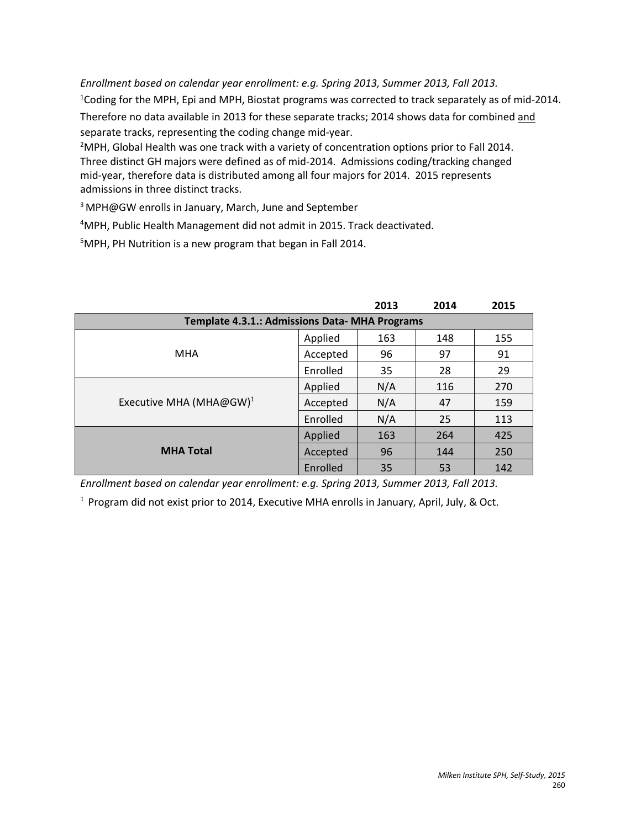*Enrollment based on calendar year enrollment: e.g. Spring 2013, Summer 2013, Fall 2013.* <sup>1</sup>Coding for the MPH, Epi and MPH, Biostat programs was corrected to track separately as of mid-2014. Therefore no data available in 2013 for these separate tracks; 2014 shows data for combined and separate tracks, representing the coding change mid-year.

 $<sup>2</sup>$ MPH, Global Health was one track with a variety of concentration options prior to Fall 2014.</sup> Three distinct GH majors were defined as of mid-2014. Admissions coding/tracking changed mid-year, therefore data is distributed among all four majors for 2014. 2015 represents admissions in three distinct tracks.

3 MPH@GW enrolls in January, March, June and September

4 MPH, Public Health Management did not admit in 2015. Track deactivated.

5 MPH, PH Nutrition is a new program that began in Fall 2014.

|                                                |          | 2013 | 2014 | 2015 |  |  |
|------------------------------------------------|----------|------|------|------|--|--|
| Template 4.3.1.: Admissions Data- MHA Programs |          |      |      |      |  |  |
|                                                | Applied  | 163  | 148  | 155  |  |  |
| <b>MHA</b>                                     | Accepted | 96   | 97   | 91   |  |  |
|                                                | Enrolled | 35   | 28   | 29   |  |  |
| Executive MHA (MHA@GW) <sup>1</sup>            | Applied  | N/A  | 116  | 270  |  |  |
|                                                | Accepted | N/A  | 47   | 159  |  |  |
|                                                | Enrolled | N/A  | 25   | 113  |  |  |
| <b>MHA Total</b>                               | Applied  | 163  | 264  | 425  |  |  |
|                                                | Accepted | 96   | 144  | 250  |  |  |
|                                                | Enrolled | 35   | 53   | 142  |  |  |

*Enrollment based on calendar year enrollment: e.g. Spring 2013, Summer 2013, Fall 2013.*

 $1$  Program did not exist prior to 2014, Executive MHA enrolls in January, April, July, & Oct.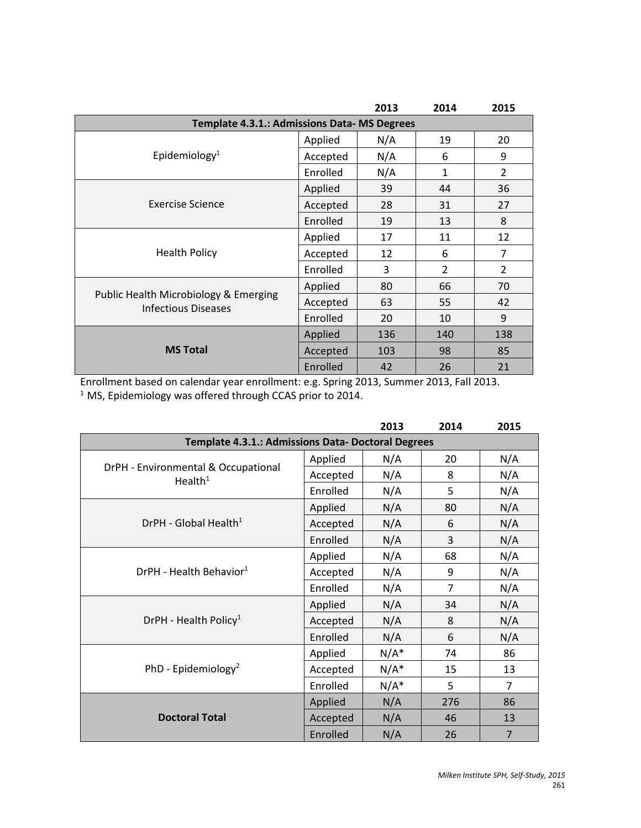|                                                                     |          | 2013 | 2014           | 2015           |  |  |  |
|---------------------------------------------------------------------|----------|------|----------------|----------------|--|--|--|
| Template 4.3.1.: Admissions Data- MS Degrees                        |          |      |                |                |  |  |  |
|                                                                     | Applied  | N/A  | 19             | 20             |  |  |  |
| Epidemiology <sup>1</sup>                                           | Accepted | N/A  | 6              | 9              |  |  |  |
|                                                                     | Enrolled | N/A  | $\mathbf{1}$   | $\overline{2}$ |  |  |  |
|                                                                     | Applied  | 39   | 44             | 36             |  |  |  |
| Exercise Science                                                    | Accepted | 28   | 31             | 27             |  |  |  |
|                                                                     | Enrolled | 19   | 13             | 8              |  |  |  |
|                                                                     | Applied  | 17   | 11             | 12             |  |  |  |
| <b>Health Policy</b>                                                | Accepted | 12   | 6              | 7              |  |  |  |
|                                                                     | Enrolled | 3    | $\overline{2}$ | $\overline{2}$ |  |  |  |
|                                                                     | Applied  | 80   | 66             | 70             |  |  |  |
| Public Health Microbiology & Emerging<br><b>Infectious Diseases</b> | Accepted | 63   | 55             | 42             |  |  |  |
|                                                                     | Enrolled | 20   | 10             | 9              |  |  |  |
|                                                                     | Applied  | 136  | 140            | 138            |  |  |  |
| <b>MS Total</b>                                                     | Accepted | 103  | 98             | 85             |  |  |  |
|                                                                     | Enrolled | 42   | 26             | 21             |  |  |  |

Enrollment based on calendar year enrollment: e.g. Spring 2013, Summer 2013, Fall 2013.  $1$  MS, Epidemiology was offered through CCAS prior to 2014.

|                                                            |          | 2013    | 2014 | 2015           |  |  |
|------------------------------------------------------------|----------|---------|------|----------------|--|--|
| Template 4.3.1.: Admissions Data- Doctoral Degrees         |          |         |      |                |  |  |
|                                                            | Applied  | N/A     | 20   | N/A            |  |  |
| DrPH - Environmental & Occupational<br>Health <sup>1</sup> | Accepted | N/A     | 8    | N/A            |  |  |
|                                                            | Enrolled | N/A     | 5    | N/A            |  |  |
|                                                            | Applied  | N/A     | 80   | N/A            |  |  |
| DrPH - Global Health <sup>1</sup>                          | Accepted | N/A     | 6    | N/A            |  |  |
|                                                            | Enrolled | N/A     | 3    | N/A            |  |  |
| DrPH - Health Behavior <sup>1</sup>                        | Applied  | N/A     | 68   | N/A            |  |  |
|                                                            | Accepted | N/A     | 9    | N/A            |  |  |
|                                                            | Enrolled | N/A     | 7    | N/A            |  |  |
|                                                            | Applied  | N/A     | 34   | N/A            |  |  |
| DrPH - Health Policy <sup>1</sup>                          | Accepted | N/A     | 8    | N/A            |  |  |
|                                                            | Enrolled | N/A     | 6    | N/A            |  |  |
|                                                            | Applied  | $N/A^*$ | 74   | 86             |  |  |
| PhD - Epidemiology <sup>2</sup>                            | Accepted | $N/A^*$ | 15   | 13             |  |  |
|                                                            | Enrolled | $N/A^*$ | 5    | $\overline{7}$ |  |  |
|                                                            | Applied  | N/A     | 276  | 86             |  |  |
| <b>Doctoral Total</b>                                      | Accepted | N/A     | 46   | 13             |  |  |
|                                                            | Enrolled | N/A     | 26   | $\overline{7}$ |  |  |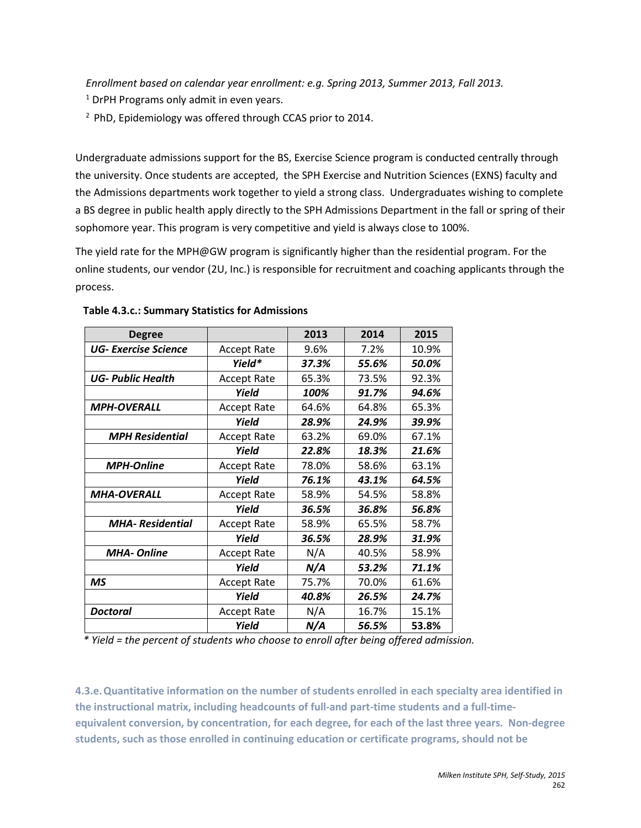*Enrollment based on calendar year enrollment: e.g. Spring 2013, Summer 2013, Fall 2013.*

 $1$  DrPH Programs only admit in even years.

 $2$  PhD, Epidemiology was offered through CCAS prior to 2014.

Undergraduate admissions support for the BS, Exercise Science program is conducted centrally through the university. Once students are accepted, the SPH Exercise and Nutrition Sciences (EXNS) faculty and the Admissions departments work together to yield a strong class. Undergraduates wishing to complete a BS degree in public health apply directly to the SPH Admissions Department in the fall or spring of their sophomore year. This program is very competitive and yield is always close to 100%.

The yield rate for the MPH@GW program is significantly higher than the residential program. For the online students, our vendor (2U, Inc.) is responsible for recruitment and coaching applicants through the process.

| <b>Degree</b>               |                    | 2013  | 2014  | 2015  |
|-----------------------------|--------------------|-------|-------|-------|
| <b>UG- Exercise Science</b> | <b>Accept Rate</b> | 9.6%  | 7.2%  | 10.9% |
|                             | Yield*             | 37.3% | 55.6% | 50.0% |
| <b>UG- Public Health</b>    | <b>Accept Rate</b> | 65.3% | 73.5% | 92.3% |
|                             | Yield              | 100%  | 91.7% | 94.6% |
| <b>MPH-OVERALL</b>          | <b>Accept Rate</b> | 64.6% | 64.8% | 65.3% |
|                             | Yield              | 28.9% | 24.9% | 39.9% |
| <b>MPH Residential</b>      | <b>Accept Rate</b> | 63.2% | 69.0% | 67.1% |
|                             | Yield              | 22.8% | 18.3% | 21.6% |
| <b>MPH-Online</b>           | <b>Accept Rate</b> | 78.0% | 58.6% | 63.1% |
|                             | Yield              | 76.1% | 43.1% | 64.5% |
| <b>MHA-OVERALL</b>          | <b>Accept Rate</b> | 58.9% | 54.5% | 58.8% |
|                             | Yield              | 36.5% | 36.8% | 56.8% |
| <b>MHA-Residential</b>      | <b>Accept Rate</b> | 58.9% | 65.5% | 58.7% |
|                             | Yield              | 36.5% | 28.9% | 31.9% |
| <b>MHA-Online</b>           | <b>Accept Rate</b> | N/A   | 40.5% | 58.9% |
|                             | Yield              | N/A   | 53.2% | 71.1% |
| <b>MS</b>                   | <b>Accept Rate</b> | 75.7% | 70.0% | 61.6% |
|                             | Yield              | 40.8% | 26.5% | 24.7% |
| Doctoral                    | <b>Accept Rate</b> | N/A   | 16.7% | 15.1% |
|                             | Yield              | N/A   | 56.5% | 53.8% |

### **Table 4.3.c.: Summary Statistics for Admissions**

*\* Yield = the percent of students who choose to enroll after being offered admission.*

**4.3.e.Quantitative information on the number of students enrolled in each specialty area identified in the instructional matrix, including headcounts of full-and part-time students and a full-timeequivalent conversion, by concentration, for each degree, for each of the last three years. Non-degree students, such as those enrolled in continuing education or certificate programs, should not be**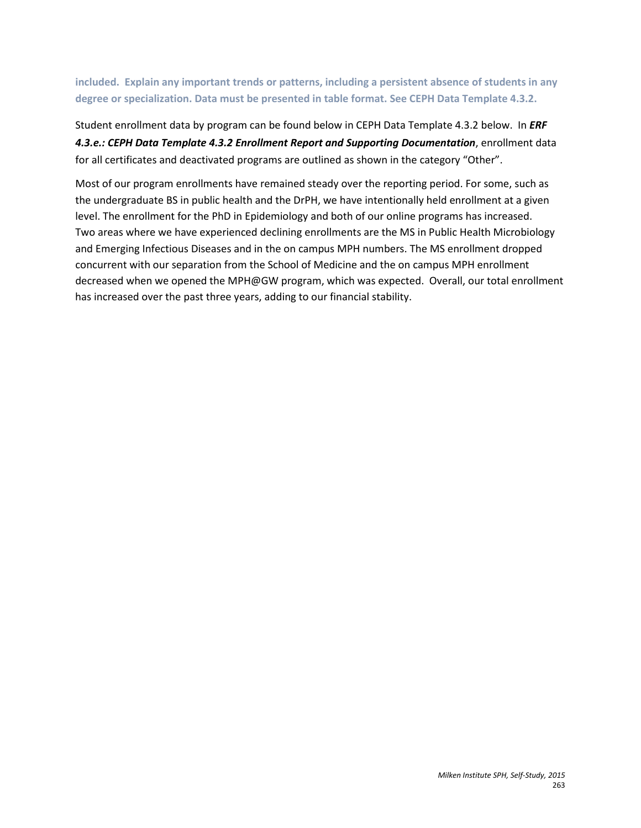**included. Explain any important trends or patterns, including a persistent absence of students in any degree or specialization. Data must be presented in table format. See CEPH Data Template 4.3.2.**

Student enrollment data by program can be found below in CEPH Data Template 4.3.2 below. In *ERF*  4.3.e.: CEPH Data Template 4.3.2 Enrollment Report and Supporting Documentation, enrollment data for all certificates and deactivated programs are outlined as shown in the category "Other".

Most of our program enrollments have remained steady over the reporting period. For some, such as the undergraduate BS in public health and the DrPH, we have intentionally held enrollment at a given level. The enrollment for the PhD in Epidemiology and both of our online programs has increased. Two areas where we have experienced declining enrollments are the MS in Public Health Microbiology and Emerging Infectious Diseases and in the on campus MPH numbers. The MS enrollment dropped concurrent with our separation from the School of Medicine and the on campus MPH enrollment decreased when we opened the MPH@GW program, which was expected. Overall, our total enrollment has increased over the past three years, adding to our financial stability.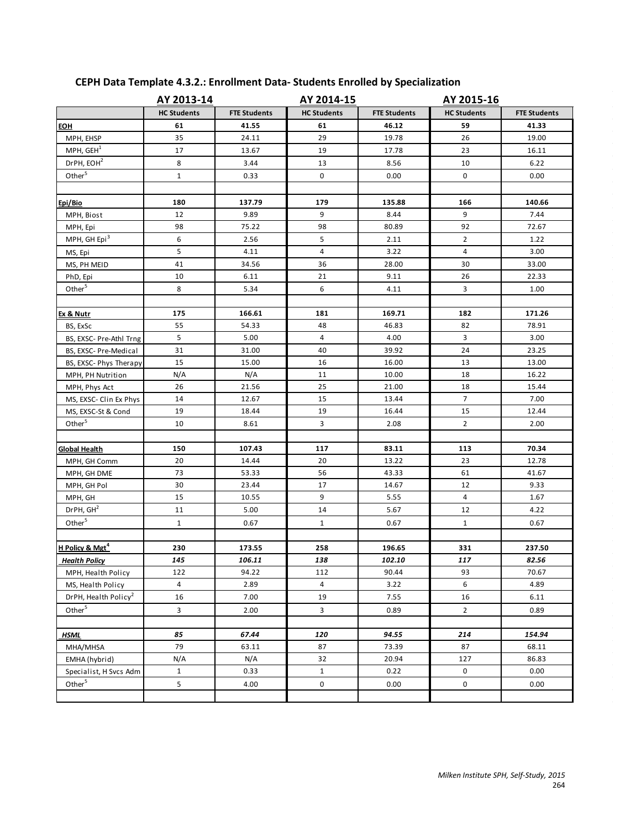|                                  | AY 2013-14              |                     |                    | AY 2014-15<br>AY 2015-16 |                         |                     |
|----------------------------------|-------------------------|---------------------|--------------------|--------------------------|-------------------------|---------------------|
|                                  | <b>HC Students</b>      | <b>FTE Students</b> | <b>HC Students</b> | <b>FTE Students</b>      | <b>HC Students</b>      | <b>FTE Students</b> |
| <b>EOH</b>                       | 61                      | 41.55               | 61                 | 46.12                    | 59                      | 41.33               |
| MPH, EHSP                        | 35                      | 24.11               | 29                 | 19.78                    | 26                      | 19.00               |
| MPH, GEH <sup>1</sup>            | 17                      | 13.67               | 19                 | 17.78                    | 23                      | 16.11               |
| DrPH, EOH <sup>2</sup>           | 8                       | 3.44                | 13                 | 8.56                     | 10                      | 6.22                |
| Other <sup>5</sup>               | $\mathbf 1$             | 0.33                | 0                  | 0.00                     | 0                       | 0.00                |
|                                  |                         |                     |                    |                          |                         |                     |
| Epi/Bio                          | 180                     | 137.79              | 179                | 135.88                   | 166                     | 140.66              |
| MPH, Biost                       | 12                      | 9.89                | 9                  | 8.44                     | 9                       | 7.44                |
| MPH, Epi                         | 98                      | 75.22               | 98                 | 80.89                    | 92                      | 72.67               |
| MPH, GH Epi <sup>3</sup>         | 6                       | 2.56                | 5                  | 2.11                     | $\overline{2}$          | 1.22                |
| MS, Epi                          | 5                       | 4.11                | 4                  | 3.22                     | $\overline{4}$          | 3.00                |
| MS, PH MEID                      | 41                      | 34.56               | 36                 | 28.00                    | 30                      | 33.00               |
| PhD, Epi                         | 10                      | 6.11                | 21                 | 9.11                     | 26                      | 22.33               |
| Other <sup>5</sup>               | 8                       | 5.34                | 6                  | 4.11                     | $\overline{\mathbf{3}}$ | 1.00                |
|                                  |                         |                     |                    |                          |                         |                     |
| Ex & Nutr                        | 175                     | 166.61              | 181                | 169.71                   | 182                     | 171.26              |
| BS, ExSc                         | 55                      | 54.33               | 48                 | 46.83                    | 82                      | 78.91               |
| BS, EXSC- Pre-Athl Trng          | 5                       | 5.00                | 4                  | 4.00                     | 3                       | 3.00                |
| BS, EXSC- Pre-Medical            | 31                      | 31.00               | 40                 | 39.92                    | 24                      | 23.25               |
| BS, EXSC- Phys Therapy           | 15                      | 15.00               | 16                 | 16.00                    | 13                      | 13.00               |
| MPH, PH Nutrition                | N/A                     | N/A                 | 11                 | 10.00                    | 18                      | 16.22               |
| MPH, Phys Act                    | 26                      | 21.56               | 25                 | 21.00                    | 18                      | 15.44               |
| MS, EXSC- Clin Ex Phys           | 14                      | 12.67               | 15                 | 13.44                    | $\overline{7}$          | 7.00                |
| MS, EXSC-St & Cond               | 19                      | 18.44               | 19                 | 16.44                    | 15                      | 12.44               |
| Other <sup>5</sup>               | 10                      | 8.61                | 3                  | 2.08                     | $\overline{2}$          | 2.00                |
|                                  |                         |                     |                    |                          |                         |                     |
| <b>Global Health</b>             | 150                     | 107.43              | 117                | 83.11                    | 113                     | 70.34               |
| MPH, GH Comm                     | 20                      | 14.44               | 20                 | 13.22                    | 23                      | 12.78               |
| MPH, GH DME                      | 73                      | 53.33               | 56                 | 43.33                    | 61                      | 41.67               |
| MPH, GH Pol                      | 30                      | 23.44               | 17                 | 14.67                    | 12                      | 9.33                |
| MPH, GH                          | 15                      | 10.55               | 9                  | 5.55                     | 4                       | 1.67                |
| DrPH, GH <sup>2</sup>            | 11                      | 5.00                | 14                 | 5.67                     | 12                      | 4.22                |
| Other <sup>5</sup>               | $\mathbf{1}$            | 0.67                | $\mathbf{1}$       | 0.67                     | $\mathbf{1}$            | 0.67                |
|                                  |                         |                     |                    |                          |                         |                     |
| H Policy & Mgt <sup>4</sup>      | 230                     | 173.55              | 258                | 196.65                   | 331                     | 237.50              |
| <b>Health Policy</b>             | 145                     | 106.11              | 138                | 102.10                   | 117                     | 82.56               |
| MPH, Health Policy               | 122                     | 94.22               | 112                | 90.44                    | 93                      | 70.67               |
| MS, Health Policy                | 4                       | 2.89                | 4                  | 3.22                     | 6                       | 4.89                |
| DrPH, Health Policy <sup>2</sup> | 16                      | 7.00                | 19                 | 7.55                     | 16                      | 6.11                |
| Other <sup>5</sup>               | $\overline{\mathbf{3}}$ | 2.00                | 3                  | 0.89                     | $\overline{2}$          | 0.89                |
|                                  |                         |                     |                    |                          |                         |                     |
| <b>HSML</b>                      | 85                      | 67.44               | 120                | 94.55                    | 214                     | 154.94              |
| MHA/MHSA                         | 79                      | 63.11               | 87                 | 73.39                    | 87                      | 68.11               |
| EMHA (hybrid)                    | N/A                     | N/A                 | 32                 | 20.94                    | 127                     | 86.83               |
| Specialist, H Svcs Adm           | $\mathbf{1}$            | 0.33                | $\mathbf{1}$       | 0.22                     | 0                       | 0.00                |
| Other <sup>5</sup>               | 5                       | 4.00                | $\pmb{0}$          | 0.00                     | $\mathbf 0$             | 0.00                |
|                                  |                         |                     |                    |                          |                         |                     |

# **CEPH Data Template 4.3.2.: Enrollment Data- Students Enrolled by Specialization**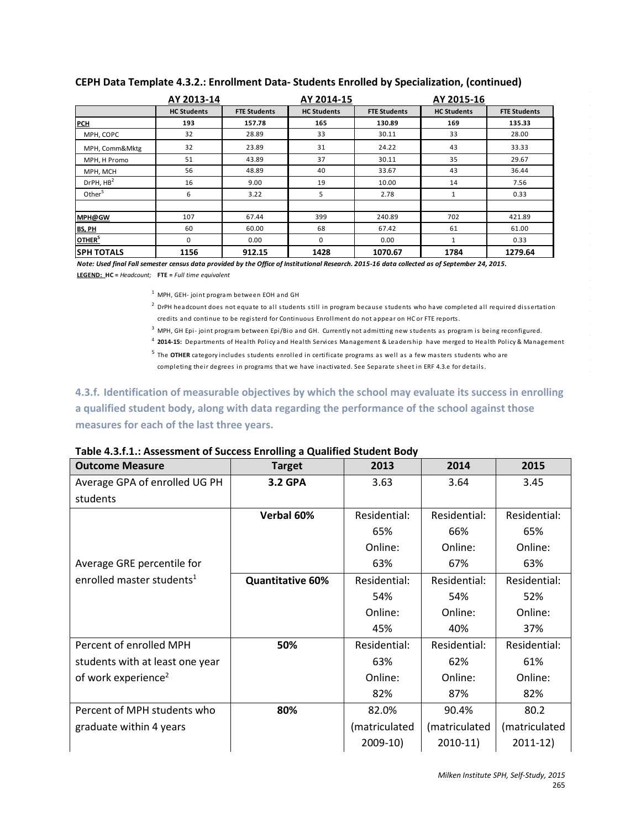|                       | AY 2013-14         |                     | AY 2014-15         |                     | AY 2015-16         |                     |
|-----------------------|--------------------|---------------------|--------------------|---------------------|--------------------|---------------------|
|                       | <b>HC Students</b> | <b>FTE Students</b> | <b>HC Students</b> | <b>FTE Students</b> | <b>HC Students</b> | <b>FTE Students</b> |
| <b>PCH</b>            | 193                | 157.78              | 165                | 130.89              | 169                | 135.33              |
| MPH, COPC             | 32                 | 28.89               | 33                 | 30.11               | 33                 | 28.00               |
| MPH, Comm&Mktg        | 32                 | 23.89               | 31                 | 24.22               | 43                 | 33.33               |
| MPH, H Promo          | 51                 | 43.89               | 37                 | 30.11               | 35                 | 29.67               |
| MPH, MCH              | 56                 | 48.89               | 40                 | 33.67               | 43                 | 36.44               |
| DrPH, HB <sup>2</sup> | 16                 | 9.00                | 19                 | 10.00               | 14                 | 7.56                |
| Other <sup>5</sup>    | 6                  | 3.22                | 5                  | 2.78                | $\mathbf{1}$       | 0.33                |
|                       |                    |                     |                    |                     |                    |                     |
| MPH@GW                | 107                | 67.44               | 399                | 240.89              | 702                | 421.89              |
| <b>BS, PH</b>         | 60                 | 60.00               | 68                 | 67.42               | 61                 | 61.00               |
| OTHER <sup>5</sup>    | $\Omega$           | 0.00                | 0                  | 0.00                | $\mathbf{1}$       | 0.33                |
| <b>SPH TOTALS</b>     | 1156               | 912.15              | 1428               | 1070.67             | 1784               | 1279.64             |

### **CEPH Data Template 4.3.2.: Enrollment Data- Students Enrolled by Specialization, (continued)**

*Note: Used final Fall semester census data provided by the Office of Institutional Research. 2015-16 data collected as of September 24, 2015.* **LEGEND: HC =** *Headcount;* **FTE =** *Full time equivalent*

<sup>1</sup> MPH, GEH- joint program between EOH and GH

<sup>2</sup> DrPH headcount does not equate to all students still in program because students who have completed all required dissertation credits and continue to be registerd for Continuous Enrollment do not appear on HC or FTE reports.

 $3$  MPH, GH Epi-joint program between Epi/Bio and GH. Currently not admitting new students as program is being reconfigured.

<sup>4</sup> **2014-15:** Departments of Health Policy and Health Services Management & Leadership have merged to Health Policy & Management

<sup>5</sup> The **OTHER** category includes students enrolled in certificate programs as well as a few masters students who are completing their degrees in programs that we have inactivated. See Separate sheet in ERF 4.3.e for details.

## **4.3.f. Identification of measurable objectives by which the school may evaluate its success in enrolling a qualified student body, along with data regarding the performance of the school against those measures for each of the last three years.**

| Table 4.3.f.1.: Assessment of Success Enrolling a Qualified Student Body |  |
|--------------------------------------------------------------------------|--|
|--------------------------------------------------------------------------|--|

| <b>Outcome Measure</b>                | <b>Target</b>           | 2013          | 2014          | 2015          |
|---------------------------------------|-------------------------|---------------|---------------|---------------|
| Average GPA of enrolled UG PH         | <b>3.2 GPA</b>          | 3.63          | 3.64          | 3.45          |
| students                              |                         |               |               |               |
|                                       | Verbal 60%              | Residential:  | Residential:  | Residential:  |
|                                       |                         | 65%           | 66%           | 65%           |
|                                       |                         | Online:       | Online:       | Online:       |
| Average GRE percentile for            |                         | 63%           | 67%           | 63%           |
| enrolled master students <sup>1</sup> | <b>Quantitative 60%</b> | Residential:  | Residential:  | Residential:  |
|                                       |                         | 54%           | 54%           | 52%           |
|                                       |                         | Online:       | Online:       | Online:       |
|                                       |                         | 45%           | 40%           | 37%           |
| Percent of enrolled MPH               | 50%                     | Residential:  | Residential:  | Residential:  |
| students with at least one year       |                         | 63%           | 62%           | 61%           |
| of work experience <sup>2</sup>       |                         | Online:       | Online:       | Online:       |
|                                       |                         | 82%           | 87%           | 82%           |
| Percent of MPH students who           | 80%                     | 82.0%         | 90.4%         | 80.2          |
| graduate within 4 years               |                         | (matriculated | (matriculated | (matriculated |
|                                       |                         | $2009-10$     | $2010-11$     | $2011 - 12$   |